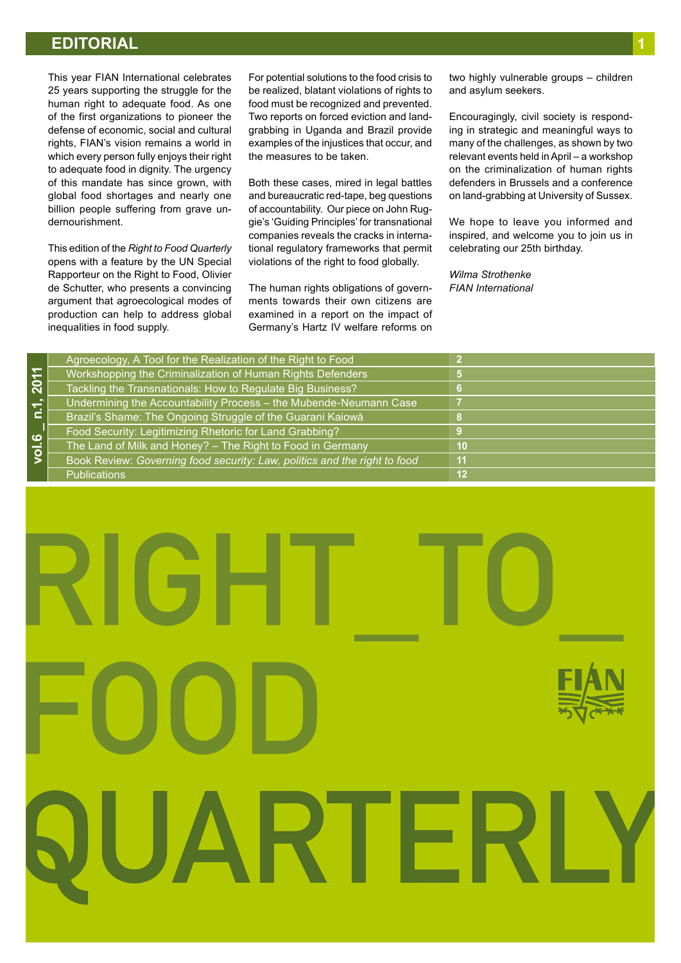# **EDITORIAL 1**

This year FIAN International celebrates 25 years supporting the struggle for the human right to adequate food. As one of the first organizations to pioneer the defense of economic, social and cultural rights, FIAN's vision remains a world in which every person fully enjoys their right to adequate food in dignity. The urgency of this mandate has since grown, with global food shortages and nearly one billion people suffering from grave undernourishment.

This edition of the *Right to Food Quarterly* opens with a feature by the UN Special Rapporteur on the Right to Food, Olivier de Schutter, who presents a convincing argument that agroecological modes of production can help to address global inequalities in food supply.

For potential solutions to the food crisis to be realized, blatant violations of rights to food must be recognized and prevented. Two reports on forced eviction and landgrabbing in Uganda and Brazil provide examples of the injustices that occur, and the measures to be taken.

Both these cases, mired in legal battles and bureaucratic red-tape, beg questions of accountability. Our piece on John Ruggie's 'Guiding Principles' for transnational companies reveals the cracks in international regulatory frameworks that permit violations of the right to food globally.

The human rights obligations of governments towards their own citizens are examined in a report on the impact of Germany's Hartz IV welfare reforms on

two highly vulnerable groups – children and asylum seekers.

Encouragingly, civil society is responding in strategic and meaningful ways to many of the challenges, as shown by two relevant events held in April – a workshop on the criminalization of human rights defenders in Brussels and a conference on land-grabbing at University of Sussex.

We hope to leave you informed and inspired, and welcome you to join us in celebrating our 25th birthday.

*Wilma Strothenke FIAN International*

|                | Agroecology, A Tool for the Realization of the Right to Food              |    |
|----------------|---------------------------------------------------------------------------|----|
|                | Workshopping the Criminalization of Human Rights Defenders                |    |
| 2011           | Tackling the Transnationals: How to Regulate Big Business?                |    |
| n.1,           | Undermining the Accountability Process - the Mubende-Neumann Case         |    |
|                | Brazil's Shame: The Ongoing Struggle of the Guarani Kaiowà                |    |
| ဖ              | Food Security: Legitimizing Rhetoric for Land Grabbing?                   |    |
| $\overline{9}$ | The Land of Milk and Honey? - The Right to Food in Germany                | 10 |
|                | Book Review: Governing food security: Law, politics and the right to food | 11 |
|                | <b>Publications</b>                                                       | 12 |
|                |                                                                           |    |

# \_\_\_\_\_\_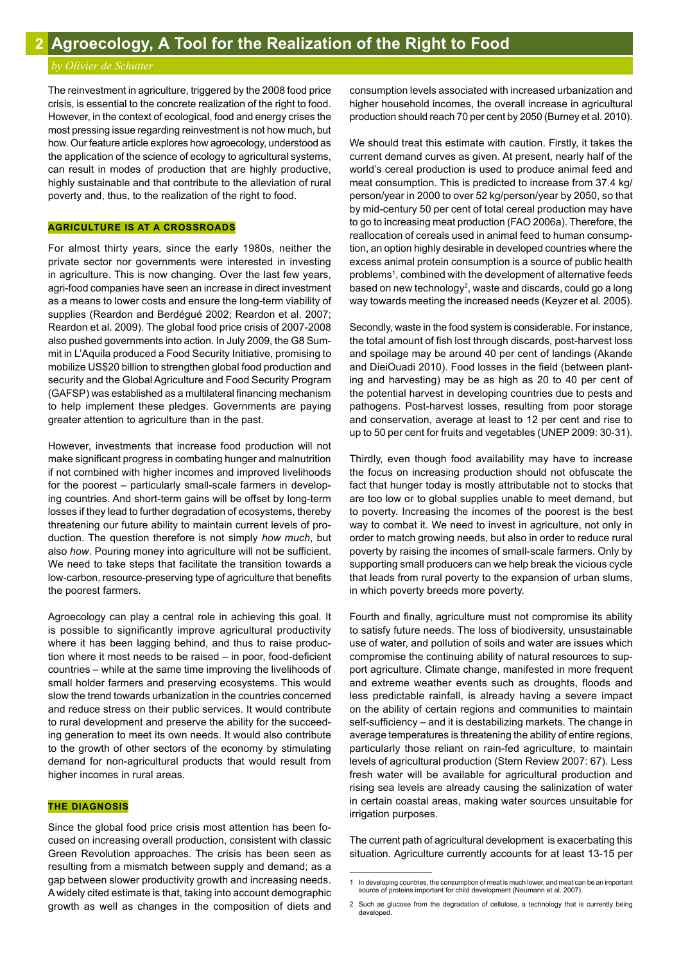# *by Olivier de Schutter*

The reinvestment in agriculture, triggered by the 2008 food price crisis, is essential to the concrete realization of the right to food. However, in the context of ecological, food and energy crises the most pressing issue regarding reinvestment is not how much, but how. Our feature article explores how agroecology, understood as the application of the science of ecology to agricultural systems, can result in modes of production that are highly productive, highly sustainable and that contribute to the alleviation of rural poverty and, thus, to the realization of the right to food.

# **AGRICULTURE IS AT A CROSSROADS**

For almost thirty years, since the early 1980s, neither the private sector nor governments were interested in investing in agriculture. This is now changing. Over the last few years, agri-food companies have seen an increase in direct investment as a means to lower costs and ensure the long-term viability of supplies (Reardon and Berdégué 2002; Reardon et al. 2007; Reardon et al. 2009). The global food price crisis of 2007-2008 also pushed governments into action. In July 2009, the G8 Summit in L'Aquila produced a Food Security Initiative, promising to mobilize US\$20 billion to strengthen global food production and security and the Global Agriculture and Food Security Program (GAFSP) was established as a multilateral financing mechanism to help implement these pledges. Governments are paying greater attention to agriculture than in the past.

However, investments that increase food production will not make significant progress in combating hunger and malnutrition if not combined with higher incomes and improved livelihoods for the poorest – particularly small-scale farmers in developing countries. And short-term gains will be offset by long-term losses if they lead to further degradation of ecosystems, thereby threatening our future ability to maintain current levels of production. The question therefore is not simply *how much*, but also *how*. Pouring money into agriculture will not be sufficient. We need to take steps that facilitate the transition towards a low-carbon, resource-preserving type of agriculture that benefits the poorest farmers.

Agroecology can play a central role in achieving this goal. It is possible to significantly improve agricultural productivity where it has been lagging behind, and thus to raise production where it most needs to be raised – in poor, food-deficient countries – while at the same time improving the livelihoods of small holder farmers and preserving ecosystems. This would slow the trend towards urbanization in the countries concerned and reduce stress on their public services. It would contribute to rural development and preserve the ability for the succeeding generation to meet its own needs. It would also contribute to the growth of other sectors of the economy by stimulating demand for non-agricultural products that would result from higher incomes in rural areas.

# **THE DIAGNOSIS**

Since the global food price crisis most attention has been focused on increasing overall production, consistent with classic Green Revolution approaches. The crisis has been seen as resulting from a mismatch between supply and demand; as a gap between slower productivity growth and increasing needs. A widely cited estimate is that, taking into account demographic growth as well as changes in the composition of diets and consumption levels associated with increased urbanization and higher household incomes, the overall increase in agricultural production should reach 70 per cent by 2050 (Burney et al. 2010).

We should treat this estimate with caution. Firstly, it takes the current demand curves as given. At present, nearly half of the world's cereal production is used to produce animal feed and meat consumption. This is predicted to increase from 37.4 kg/ person/year in 2000 to over 52 kg/person/year by 2050, so that by mid-century 50 per cent of total cereal production may have to go to increasing meat production (FAO 2006a). Therefore, the reallocation of cereals used in animal feed to human consumption, an option highly desirable in developed countries where the excess animal protein consumption is a source of public health problems<sup>1</sup>, combined with the development of alternative feeds based on new technology<sup>2</sup>, waste and discards, could go a long way towards meeting the increased needs (Keyzer et al. 2005).

Secondly, waste in the food system is considerable. For instance, the total amount of fish lost through discards, post-harvest loss and spoilage may be around 40 per cent of landings (Akande and DieiOuadi 2010). Food losses in the field (between planting and harvesting) may be as high as 20 to 40 per cent of the potential harvest in developing countries due to pests and pathogens. Post-harvest losses, resulting from poor storage and conservation, average at least to 12 per cent and rise to up to 50 per cent for fruits and vegetables (UNEP 2009: 30-31).

Thirdly, even though food availability may have to increase the focus on increasing production should not obfuscate the fact that hunger today is mostly attributable not to stocks that are too low or to global supplies unable to meet demand, but to poverty. Increasing the incomes of the poorest is the best way to combat it. We need to invest in agriculture, not only in order to match growing needs, but also in order to reduce rural poverty by raising the incomes of small-scale farmers. Only by supporting small producers can we help break the vicious cycle that leads from rural poverty to the expansion of urban slums, in which poverty breeds more poverty.

Fourth and finally, agriculture must not compromise its ability to satisfy future needs. The loss of biodiversity, unsustainable use of water, and pollution of soils and water are issues which compromise the continuing ability of natural resources to support agriculture. Climate change, manifested in more frequent and extreme weather events such as droughts, floods and less predictable rainfall, is already having a severe impact on the ability of certain regions and communities to maintain self-sufficiency – and it is destabilizing markets. The change in average temperatures is threatening the ability of entire regions, particularly those reliant on rain-fed agriculture, to maintain levels of agricultural production (Stern Review 2007: 67). Less fresh water will be available for agricultural production and rising sea levels are already causing the salinization of water in certain coastal areas, making water sources unsuitable for irrigation purposes.

The current path of agricultural development is exacerbating this situation. Agriculture currently accounts for at least 13-15 per

<sup>1</sup> In developing countries, the consumption of meat is much lower, and meat can be an important source of proteins important for child development (Neumann et al. 2007).

<sup>2</sup> Such as glucose from the degradation of cellulose, a technology that is currently being developed.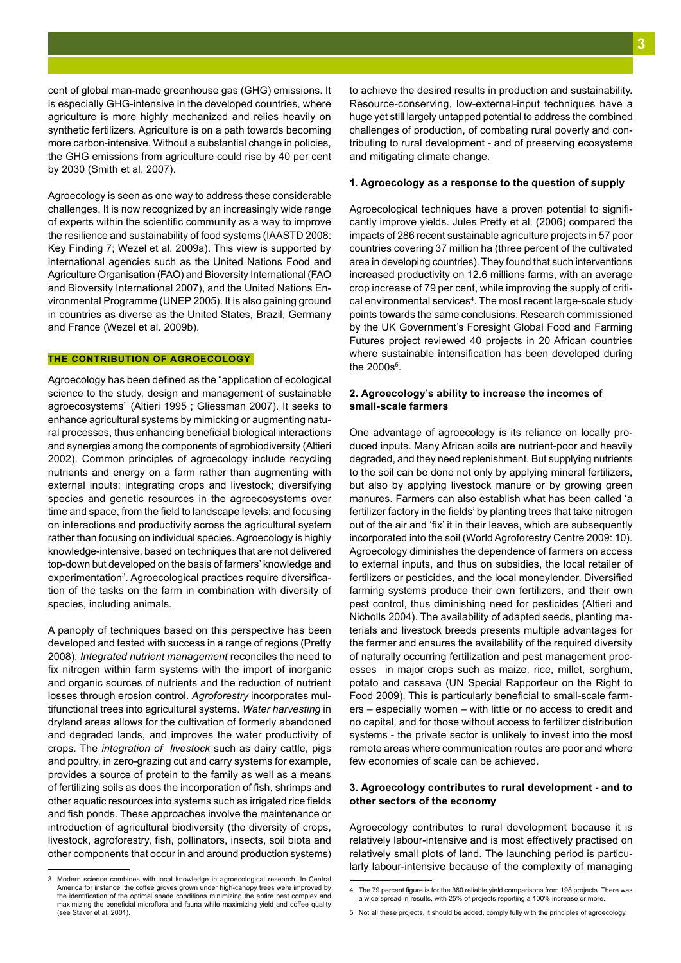cent of global man-made greenhouse gas (GHG) emissions. It is especially GHG-intensive in the developed countries, where agriculture is more highly mechanized and relies heavily on synthetic fertilizers. Agriculture is on a path towards becoming more carbon-intensive. Without a substantial change in policies, the GHG emissions from agriculture could rise by 40 per cent by 2030 (Smith et al. 2007).

Agroecology is seen as one way to address these considerable challenges. It is now recognized by an increasingly wide range of experts within the scientific community as a way to improve the resilience and sustainability of food systems (IAASTD 2008: Key Finding 7; Wezel et al. 2009a). This view is supported by international agencies such as the United Nations Food and Agriculture Organisation (FAO) and Bioversity International (FAO and Bioversity International 2007), and the United Nations Environmental Programme (UNEP 2005). It is also gaining ground in countries as diverse as the United States, Brazil, Germany and France (Wezel et al. 2009b).

# **THE CONTRIBUTION OF AGROECOLOGY**

Agroecology has been defined as the "application of ecological science to the study, design and management of sustainable agroecosystems" (Altieri 1995 ; Gliessman 2007). It seeks to enhance agricultural systems by mimicking or augmenting natural processes, thus enhancing beneficial biological interactions and synergies among the components of agrobiodiversity (Altieri 2002). Common principles of agroecology include recycling nutrients and energy on a farm rather than augmenting with external inputs; integrating crops and livestock; diversifying species and genetic resources in the agroecosystems over time and space, from the field to landscape levels; and focusing on interactions and productivity across the agricultural system rather than focusing on individual species. Agroecology is highly knowledge-intensive, based on techniques that are not delivered top-down but developed on the basis of farmers' knowledge and experimentation<sup>3</sup>. Agroecological practices require diversification of the tasks on the farm in combination with diversity of species, including animals.

A panoply of techniques based on this perspective has been developed and tested with success in a range of regions (Pretty 2008). *Integrated nutrient management* reconciles the need to fix nitrogen within farm systems with the import of inorganic and organic sources of nutrients and the reduction of nutrient losses through erosion control. *Agroforestry* incorporates multifunctional trees into agricultural systems. *Water harvesting* in dryland areas allows for the cultivation of formerly abandoned and degraded lands, and improves the water productivity of crops. The *integration of livestock* such as dairy cattle, pigs and poultry, in zero-grazing cut and carry systems for example, provides a source of protein to the family as well as a means of fertilizing soils as does the incorporation of fish, shrimps and other aquatic resources into systems such as irrigated rice fields and fish ponds. These approaches involve the maintenance or introduction of agricultural biodiversity (the diversity of crops, livestock, agroforestry, fish, pollinators, insects, soil biota and other components that occur in and around production systems)

3 Modern science combines with local knowledge in agroecological research. In Central America for instance, the coffee groves grown under high-canopy trees were improved by the identification of the optimal shade conditions minimizing the entire pest complex and maximizing the beneficial microflora and fauna while maximizing yield and coffee quality (see Staver et al. 2001).

to achieve the desired results in production and sustainability. Resource-conserving, low-external-input techniques have a huge yet still largely untapped potential to address the combined challenges of production, of combating rural poverty and contributing to rural development - and of preserving ecosystems and mitigating climate change.

# **1. Agroecology as a response to the question of supply**

Agroecological techniques have a proven potential to significantly improve yields. Jules Pretty et al. (2006) compared the impacts of 286 recent sustainable agriculture projects in 57 poor countries covering 37 million ha (three percent of the cultivated area in developing countries). They found that such interventions increased productivity on 12.6 millions farms, with an average crop increase of 79 per cent, while improving the supply of critical environmental services<sup>4</sup>. The most recent large-scale study points towards the same conclusions. Research commissioned by the UK Government's Foresight Global Food and Farming Futures project reviewed 40 projects in 20 African countries where sustainable intensification has been developed during the  $2000s<sup>5</sup>$ .

# **2. Agroecology's ability to increase the incomes of small-scale farmers**

One advantage of agroecology is its reliance on locally produced inputs. Many African soils are nutrient-poor and heavily degraded, and they need replenishment. But supplying nutrients to the soil can be done not only by applying mineral fertilizers, but also by applying livestock manure or by growing green manures. Farmers can also establish what has been called 'a fertilizer factory in the fields' by planting trees that take nitrogen out of the air and 'fix' it in their leaves, which are subsequently incorporated into the soil (World Agroforestry Centre 2009: 10). Agroecology diminishes the dependence of farmers on access to external inputs, and thus on subsidies, the local retailer of fertilizers or pesticides, and the local moneylender. Diversified farming systems produce their own fertilizers, and their own pest control, thus diminishing need for pesticides (Altieri and Nicholls 2004). The availability of adapted seeds, planting materials and livestock breeds presents multiple advantages for the farmer and ensures the availability of the required diversity of naturally occurring fertilization and pest management processes in major crops such as maize, rice, millet, sorghum, potato and cassava (UN Special Rapporteur on the Right to Food 2009). This is particularly beneficial to small-scale farmers – especially women – with little or no access to credit and no capital, and for those without access to fertilizer distribution systems - the private sector is unlikely to invest into the most remote areas where communication routes are poor and where few economies of scale can be achieved.

# **3. Agroecology contributes to rural development - and to other sectors of the economy**

Agroecology contributes to rural development because it is relatively labour-intensive and is most effectively practised on relatively small plots of land. The launching period is particularly labour-intensive because of the complexity of managing

<sup>4</sup> The 79 percent figure is for the 360 reliable yield comparisons from 198 projects. There was a wide spread in results, with 25% of projects reporting a 100% increase or more.

<sup>5</sup> Not all these projects, it should be added, comply fully with the principles of agroecology.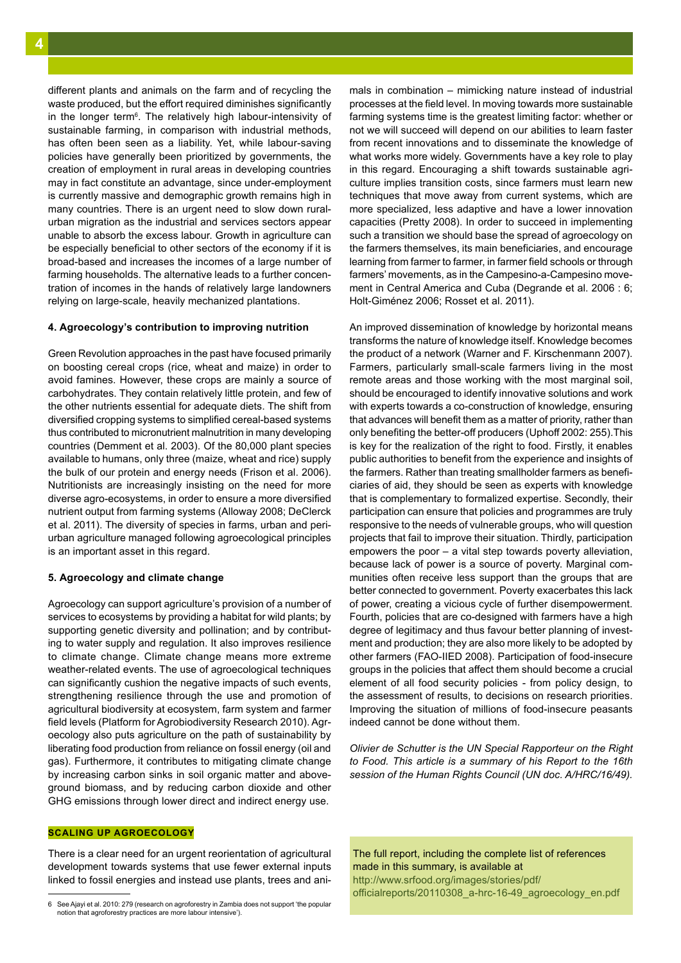different plants and animals on the farm and of recycling the waste produced, but the effort required diminishes significantly in the longer term<sup>6</sup>. The relatively high labour-intensivity of sustainable farming, in comparison with industrial methods, has often been seen as a liability. Yet, while labour-saving policies have generally been prioritized by governments, the creation of employment in rural areas in developing countries may in fact constitute an advantage, since under-employment is currently massive and demographic growth remains high in many countries. There is an urgent need to slow down ruralurban migration as the industrial and services sectors appear unable to absorb the excess labour. Growth in agriculture can be especially beneficial to other sectors of the economy if it is broad-based and increases the incomes of a large number of farming households. The alternative leads to a further concentration of incomes in the hands of relatively large landowners relying on large-scale, heavily mechanized plantations.

# **4. Agroecology's contribution to improving nutrition**

Green Revolution approaches in the past have focused primarily on boosting cereal crops (rice, wheat and maize) in order to avoid famines. However, these crops are mainly a source of carbohydrates. They contain relatively little protein, and few of the other nutrients essential for adequate diets. The shift from diversified cropping systems to simplified cereal-based systems thus contributed to micronutrient malnutrition in many developing countries (Demment et al. 2003). Of the 80,000 plant species available to humans, only three (maize, wheat and rice) supply the bulk of our protein and energy needs (Frison et al. 2006). Nutritionists are increasingly insisting on the need for more diverse agro-ecosystems, in order to ensure a more diversified nutrient output from farming systems (Alloway 2008; DeClerck et al. 2011). The diversity of species in farms, urban and periurban agriculture managed following agroecological principles is an important asset in this regard.

## **5. Agroecology and climate change**

Agroecology can support agriculture's provision of a number of services to ecosystems by providing a habitat for wild plants; by supporting genetic diversity and pollination; and by contributing to water supply and regulation. It also improves resilience to climate change. Climate change means more extreme weather-related events. The use of agroecological techniques can significantly cushion the negative impacts of such events, strengthening resilience through the use and promotion of agricultural biodiversity at ecosystem, farm system and farmer field levels (Platform for Agrobiodiversity Research 2010). Agroecology also puts agriculture on the path of sustainability by liberating food production from reliance on fossil energy (oil and gas). Furthermore, it contributes to mitigating climate change by increasing carbon sinks in soil organic matter and aboveground biomass, and by reducing carbon dioxide and other GHG emissions through lower direct and indirect energy use.

# **SCALING UP AGROECOLOGY**

There is a clear need for an urgent reorientation of agricultural development towards systems that use fewer external inputs linked to fossil energies and instead use plants, trees and animals in combination – mimicking nature instead of industrial processes at the field level. In moving towards more sustainable farming systems time is the greatest limiting factor: whether or not we will succeed will depend on our abilities to learn faster from recent innovations and to disseminate the knowledge of what works more widely. Governments have a key role to play in this regard. Encouraging a shift towards sustainable agriculture implies transition costs, since farmers must learn new techniques that move away from current systems, which are more specialized, less adaptive and have a lower innovation capacities (Pretty 2008). In order to succeed in implementing such a transition we should base the spread of agroecology on the farmers themselves, its main beneficiaries, and encourage learning from farmer to farmer, in farmer field schools or through farmers' movements, as in the Campesino-a-Campesino movement in Central America and Cuba (Degrande et al. 2006 : 6; Holt-Giménez 2006; Rosset et al. 2011).

An improved dissemination of knowledge by horizontal means transforms the nature of knowledge itself. Knowledge becomes the product of a network (Warner and F. Kirschenmann 2007). Farmers, particularly small-scale farmers living in the most remote areas and those working with the most marginal soil, should be encouraged to identify innovative solutions and work with experts towards a co-construction of knowledge, ensuring that advances will benefit them as a matter of priority, rather than only benefiting the better-off producers (Uphoff 2002: 255).This is key for the realization of the right to food. Firstly, it enables public authorities to benefit from the experience and insights of the farmers. Rather than treating smallholder farmers as beneficiaries of aid, they should be seen as experts with knowledge that is complementary to formalized expertise. Secondly, their participation can ensure that policies and programmes are truly responsive to the needs of vulnerable groups, who will question projects that fail to improve their situation. Thirdly, participation empowers the poor – a vital step towards poverty alleviation, because lack of power is a source of poverty. Marginal communities often receive less support than the groups that are better connected to government. Poverty exacerbates this lack of power, creating a vicious cycle of further disempowerment. Fourth, policies that are co-designed with farmers have a high degree of legitimacy and thus favour better planning of investment and production; they are also more likely to be adopted by other farmers (FAO-IIED 2008). Participation of food-insecure groups in the policies that affect them should become a crucial element of all food security policies - from policy design, to the assessment of results, to decisions on research priorities. Improving the situation of millions of food-insecure peasants indeed cannot be done without them.

*Olivier de Schutter is the UN Special Rapporteur on the Right to Food. This article is a summary of his Report to the 16th session of the Human Rights Council (UN doc. A/HRC/16/49).* 

The full report, including the complete list of references made in this summary, is available at http://www.srfood.org/images/stories/pdf/ officialreports/20110308\_a-hrc-16-49\_agroecology\_en.pdf

<sup>6</sup> See Ajayi et al. 2010: 279 (research on agroforestry in Zambia does not support 'the popular notion that agroforestry practices are more labour intensive').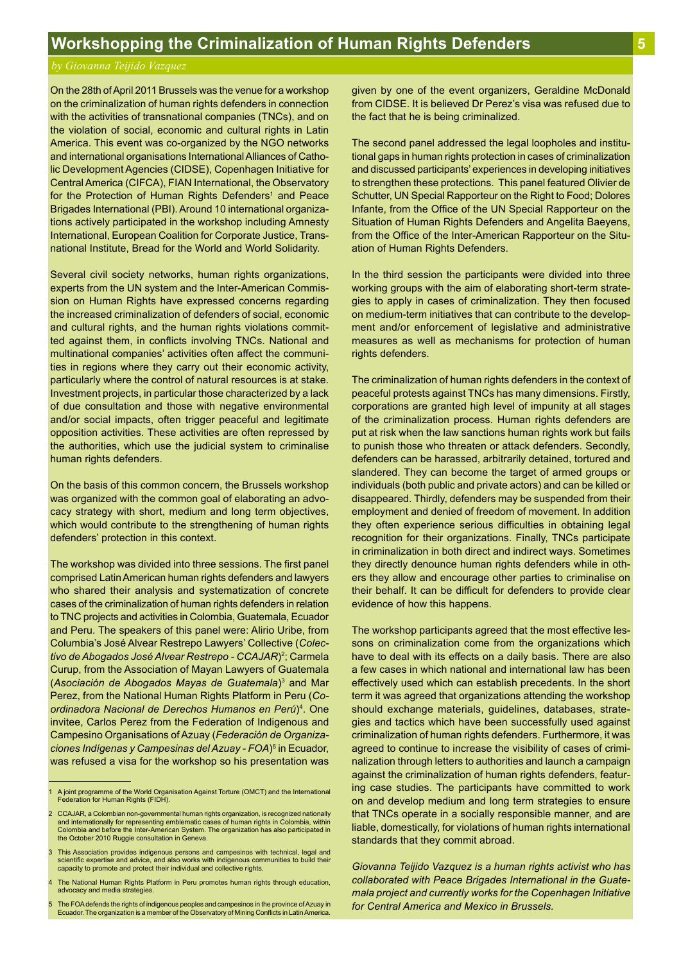# *by Giovanna Teijido Vazquez*

On the 28th of April 2011 Brussels was the venue for a workshop on the criminalization of human rights defenders in connection with the activities of transnational companies (TNCs), and on the violation of social, economic and cultural rights in Latin America. This event was co-organized by the NGO networks and international organisations International Alliances of Catholic Development Agencies (CIDSE), Copenhagen Initiative for Central America (CIFCA), FIAN International, the Observatory for the Protection of Human Rights Defenders<sup>1</sup> and Peace Brigades International (PBI). Around 10 international organizations actively participated in the workshop including Amnesty International, European Coalition for Corporate Justice, Transnational Institute, Bread for the World and World Solidarity.

Several civil society networks, human rights organizations, experts from the UN system and the Inter-American Commission on Human Rights have expressed concerns regarding the increased criminalization of defenders of social, economic and cultural rights, and the human rights violations committed against them, in conflicts involving TNCs. National and multinational companies' activities often affect the communities in regions where they carry out their economic activity, particularly where the control of natural resources is at stake. Investment projects, in particular those characterized by a lack of due consultation and those with negative environmental and/or social impacts, often trigger peaceful and legitimate opposition activities. These activities are often repressed by the authorities, which use the judicial system to criminalise human rights defenders.

On the basis of this common concern, the Brussels workshop was organized with the common goal of elaborating an advocacy strategy with short, medium and long term objectives, which would contribute to the strengthening of human rights defenders' protection in this context.

The workshop was divided into three sessions. The first panel comprised Latin American human rights defenders and lawyers who shared their analysis and systematization of concrete cases of the criminalization of human rights defenders in relation to TNC projects and activities in Colombia, Guatemala, Ecuador and Peru. The speakers of this panel were: Alirio Uribe, from Columbia's José Alvear Restrepo Lawyers' Collective (*Colectivo de Abogados José Alvear Restrepo - CCAJAR)<sup>2</sup>; Carmela* Curup, from the Association of Mayan Lawyers of Guatemala (*Asociación de Abogados Mayas de Guatemala*)3 and Mar Perez, from the National Human Rights Platform in Peru (*Coordinadora Nacional de Derechos Humanos en Perú*)4 . One invitee, Carlos Perez from the Federation of Indigenous and Campesino Organisations of Azuay (*Federación de Organizaciones Indígenas y Campesinas del Azuay - FOA*)5 in Ecuador, was refused a visa for the workshop so his presentation was

given by one of the event organizers, Geraldine McDonald from CIDSE. It is believed Dr Perez's visa was refused due to the fact that he is being criminalized.

The second panel addressed the legal loopholes and institutional gaps in human rights protection in cases of criminalization and discussed participants' experiences in developing initiatives to strengthen these protections. This panel featured Olivier de Schutter, UN Special Rapporteur on the Right to Food; Dolores Infante, from the Office of the UN Special Rapporteur on the Situation of Human Rights Defenders and Angelita Baeyens, from the Office of the Inter-American Rapporteur on the Situation of Human Rights Defenders.

In the third session the participants were divided into three working groups with the aim of elaborating short-term strategies to apply in cases of criminalization. They then focused on medium-term initiatives that can contribute to the development and/or enforcement of legislative and administrative measures as well as mechanisms for protection of human rights defenders.

The criminalization of human rights defenders in the context of peaceful protests against TNCs has many dimensions. Firstly, corporations are granted high level of impunity at all stages of the criminalization process. Human rights defenders are put at risk when the law sanctions human rights work but fails to punish those who threaten or attack defenders. Secondly, defenders can be harassed, arbitrarily detained, tortured and slandered. They can become the target of armed groups or individuals (both public and private actors) and can be killed or disappeared. Thirdly, defenders may be suspended from their employment and denied of freedom of movement. In addition they often experience serious difficulties in obtaining legal recognition for their organizations. Finally, TNCs participate in criminalization in both direct and indirect ways. Sometimes they directly denounce human rights defenders while in others they allow and encourage other parties to criminalise on their behalf. It can be difficult for defenders to provide clear evidence of how this happens.

The workshop participants agreed that the most effective lessons on criminalization come from the organizations which have to deal with its effects on a daily basis. There are also a few cases in which national and international law has been effectively used which can establish precedents. In the short term it was agreed that organizations attending the workshop should exchange materials, guidelines, databases, strategies and tactics which have been successfully used against criminalization of human rights defenders. Furthermore, it was agreed to continue to increase the visibility of cases of criminalization through letters to authorities and launch a campaign against the criminalization of human rights defenders, featuring case studies. The participants have committed to work on and develop medium and long term strategies to ensure that TNCs operate in a socially responsible manner, and are liable, domestically, for violations of human rights international standards that they commit abroad.

*Giovanna Teijido Vazquez is a human rights activist who has collaborated with Peace Brigades International in the Guatemala project and currently works for the Copenhagen Initiative for Central America and Mexico in Brussels.*

<sup>1</sup> A joint programme of the World Organisation Against Torture (OMCT) and the International Federation for Human Rights (FIDH).

<sup>2</sup> CCAJAR, a Colombian non-governmental human rights organization, is recognized nationally and internationally for representing emblematic cases of human rights in Colombia, within Colombia and before the Inter-American System. The organization has also participated in the October 2010 Ruggie consultation in Geneva.

<sup>3</sup> This Association provides indigenous persons and campesinos with technical, legal and scientific expertise and advice, and also works with indigenous communities to build their capacity to promote and protect their individual and collective rights.

<sup>4</sup> The National Human Rights Platform in Peru promotes human rights through education, advocacy and media strategies.

<sup>5</sup> The FOA defends the rights of indigenous peoples and campesinos in the province of Azuay in Ecuador. The organization is a member of the Observatory of Mining Conflicts in Latin America.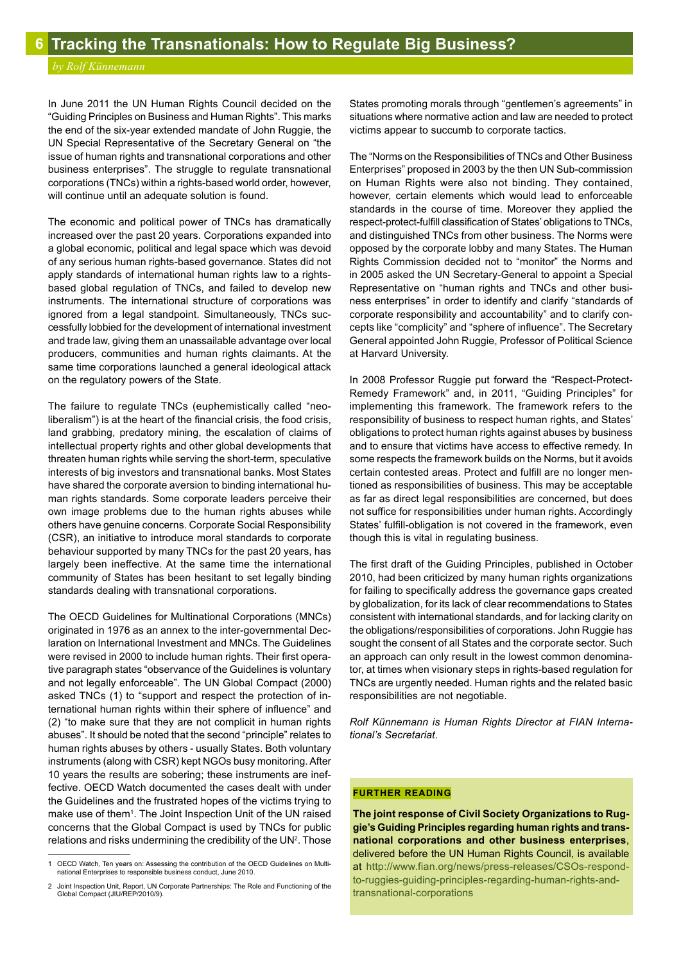# *by Rolf Künnemann*

In June 2011 the UN Human Rights Council decided on the "Guiding Principles on Business and Human Rights". This marks the end of the six-year extended mandate of John Ruggie, the UN Special Representative of the Secretary General on "the issue of human rights and transnational corporations and other business enterprises". The struggle to regulate transnational corporations (TNCs) within a rights-based world order, however, will continue until an adequate solution is found.

The economic and political power of TNCs has dramatically increased over the past 20 years. Corporations expanded into a global economic, political and legal space which was devoid of any serious human rights-based governance. States did not apply standards of international human rights law to a rightsbased global regulation of TNCs, and failed to develop new instruments. The international structure of corporations was ignored from a legal standpoint. Simultaneously, TNCs successfully lobbied for the development of international investment and trade law, giving them an unassailable advantage over local producers, communities and human rights claimants. At the same time corporations launched a general ideological attack on the regulatory powers of the State.

The failure to regulate TNCs (euphemistically called "neoliberalism") is at the heart of the financial crisis, the food crisis, land grabbing, predatory mining, the escalation of claims of intellectual property rights and other global developments that threaten human rights while serving the short-term, speculative interests of big investors and transnational banks. Most States have shared the corporate aversion to binding international human rights standards. Some corporate leaders perceive their own image problems due to the human rights abuses while others have genuine concerns. Corporate Social Responsibility (CSR), an initiative to introduce moral standards to corporate behaviour supported by many TNCs for the past 20 years, has largely been ineffective. At the same time the international community of States has been hesitant to set legally binding standards dealing with transnational corporations.

The OECD Guidelines for Multinational Corporations (MNCs) originated in 1976 as an annex to the inter-governmental Declaration on International Investment and MNCs. The Guidelines were revised in 2000 to include human rights. Their first operative paragraph states "observance of the Guidelines is voluntary and not legally enforceable". The UN Global Compact (2000) asked TNCs (1) to "support and respect the protection of international human rights within their sphere of influence" and (2) "to make sure that they are not complicit in human rights abuses". It should be noted that the second "principle" relates to human rights abuses by others - usually States. Both voluntary instruments (along with CSR) kept NGOs busy monitoring. After 10 years the results are sobering; these instruments are ineffective. OECD Watch documented the cases dealt with under the Guidelines and the frustrated hopes of the victims trying to make use of them<sup>1</sup>. The Joint Inspection Unit of the UN raised concerns that the Global Compact is used by TNCs for public relations and risks undermining the credibility of the  $UN<sup>2</sup>$ . Those States promoting morals through "gentlemen's agreements" in situations where normative action and law are needed to protect victims appear to succumb to corporate tactics.

The "Norms on the Responsibilities of TNCs and Other Business Enterprises" proposed in 2003 by the then UN Sub-commission on Human Rights were also not binding. They contained, however, certain elements which would lead to enforceable standards in the course of time. Moreover they applied the respect-protect-fulfill classification of States' obligations to TNCs, and distinguished TNCs from other business. The Norms were opposed by the corporate lobby and many States. The Human Rights Commission decided not to "monitor" the Norms and in 2005 asked the UN Secretary-General to appoint a Special Representative on "human rights and TNCs and other business enterprises" in order to identify and clarify "standards of corporate responsibility and accountability" and to clarify concepts like "complicity" and "sphere of influence". The Secretary General appointed John Ruggie, Professor of Political Science at Harvard University.

In 2008 Professor Ruggie put forward the "Respect-Protect-Remedy Framework" and, in 2011, "Guiding Principles" for implementing this framework. The framework refers to the responsibility of business to respect human rights, and States' obligations to protect human rights against abuses by business and to ensure that victims have access to effective remedy. In some respects the framework builds on the Norms, but it avoids certain contested areas. Protect and fulfill are no longer mentioned as responsibilities of business. This may be acceptable as far as direct legal responsibilities are concerned, but does not suffice for responsibilities under human rights. Accordingly States' fulfill-obligation is not covered in the framework, even though this is vital in regulating business.

The first draft of the Guiding Principles, published in October 2010, had been criticized by many human rights organizations for failing to specifically address the governance gaps created by globalization, for its lack of clear recommendations to States consistent with international standards, and for lacking clarity on the obligations/responsibilities of corporations. John Ruggie has sought the consent of all States and the corporate sector. Such an approach can only result in the lowest common denominator, at times when visionary steps in rights-based regulation for TNCs are urgently needed. Human rights and the related basic responsibilities are not negotiable.

*Rolf Künnemann is Human Rights Director at FIAN International's Secretariat.* 

# **FURTHER READING**

**The joint response of Civil Society Organizations to Ruggie's Guiding Principles regarding human rights and transnational corporations and other business enterprises**, delivered before the UN Human Rights Council, is available at http://www.fian.org/news/press-releases/CSOs-respondto-ruggies-guiding-principles-regarding-human-rights-andtransnational-corporations

<sup>1</sup> OECD Watch, Ten years on: Assessing the contribution of the OECD Guidelines on Multinational Enterprises to responsible business conduct, June 2010.

<sup>2</sup> Joint Inspection Unit, Report, UN Corporate Partnerships: The Role and Functioning of the Global Compact (JIU/REP/2010/9).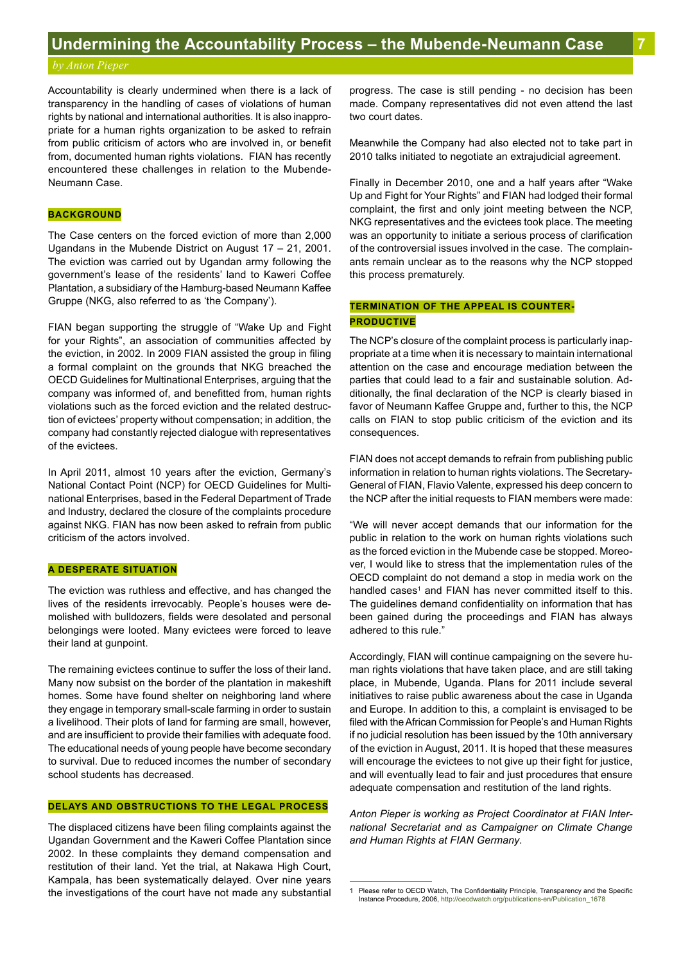Accountability is clearly undermined when there is a lack of transparency in the handling of cases of violations of human rights by national and international authorities. It is also inappropriate for a human rights organization to be asked to refrain from public criticism of actors who are involved in, or benefit from, documented human rights violations. FIAN has recently encountered these challenges in relation to the Mubende-Neumann Case.

# **BACKGROUND**

The Case centers on the forced eviction of more than 2,000 Ugandans in the Mubende District on August 17 – 21, 2001. The eviction was carried out by Ugandan army following the government's lease of the residents' land to Kaweri Coffee Plantation, a subsidiary of the Hamburg-based Neumann Kaffee Gruppe (NKG, also referred to as 'the Company').

FIAN began supporting the struggle of "Wake Up and Fight for your Rights", an association of communities affected by the eviction, in 2002. In 2009 FIAN assisted the group in filing a formal complaint on the grounds that NKG breached the OECD Guidelines for Multinational Enterprises, arguing that the company was informed of, and benefitted from, human rights violations such as the forced eviction and the related destruction of evictees' property without compensation; in addition, the company had constantly rejected dialogue with representatives of the evictees.

In April 2011, almost 10 years after the eviction, Germany's National Contact Point (NCP) for OECD Guidelines for Multinational Enterprises, based in the Federal Department of Trade and Industry, declared the closure of the complaints procedure against NKG. FIAN has now been asked to refrain from public criticism of the actors involved.

# **A DESPERATE SITUATION**

The eviction was ruthless and effective, and has changed the lives of the residents irrevocably. People's houses were demolished with bulldozers, fields were desolated and personal belongings were looted. Many evictees were forced to leave their land at gunpoint.

The remaining evictees continue to suffer the loss of their land. Many now subsist on the border of the plantation in makeshift homes. Some have found shelter on neighboring land where they engage in temporary small-scale farming in order to sustain a livelihood. Their plots of land for farming are small, however, and are insufficient to provide their families with adequate food. The educational needs of young people have become secondary to survival. Due to reduced incomes the number of secondary school students has decreased.

# **DELAYS AND OBSTRUCTIONS TO THE LEGAL PROCESS**

The displaced citizens have been filing complaints against the Ugandan Government and the Kaweri Coffee Plantation since 2002. In these complaints they demand compensation and restitution of their land. Yet the trial, at Nakawa High Court, Kampala, has been systematically delayed. Over nine years the investigations of the court have not made any substantial progress. The case is still pending - no decision has been made. Company representatives did not even attend the last two court dates.

Meanwhile the Company had also elected not to take part in 2010 talks initiated to negotiate an extrajudicial agreement.

Finally in December 2010, one and a half years after "Wake Up and Fight for Your Rights" and FIAN had lodged their formal complaint, the first and only joint meeting between the NCP, NKG representatives and the evictees took place. The meeting was an opportunity to initiate a serious process of clarification of the controversial issues involved in the case. The complainants remain unclear as to the reasons why the NCP stopped this process prematurely.

# **TERMINATION OF THE APPEAL IS COUNTER-PRODUCTIVE**

The NCP's closure of the complaint process is particularly inappropriate at a time when it is necessary to maintain international attention on the case and encourage mediation between the parties that could lead to a fair and sustainable solution. Additionally, the final declaration of the NCP is clearly biased in favor of Neumann Kaffee Gruppe and, further to this, the NCP calls on FIAN to stop public criticism of the eviction and its consequences.

FIAN does not accept demands to refrain from publishing public information in relation to human rights violations. The Secretary-General of FIAN, Flavio Valente, expressed his deep concern to the NCP after the initial requests to FIAN members were made:

"We will never accept demands that our information for the public in relation to the work on human rights violations such as the forced eviction in the Mubende case be stopped. Moreover, I would like to stress that the implementation rules of the OECD complaint do not demand a stop in media work on the handled cases<sup>1</sup> and FIAN has never committed itself to this. The guidelines demand confidentiality on information that has been gained during the proceedings and FIAN has always adhered to this rule."

Accordingly, FIAN will continue campaigning on the severe human rights violations that have taken place, and are still taking place, in Mubende, Uganda. Plans for 2011 include several initiatives to raise public awareness about the case in Uganda and Europe. In addition to this, a complaint is envisaged to be filed with the African Commission for People's and Human Rights if no judicial resolution has been issued by the 10th anniversary of the eviction in August, 2011. It is hoped that these measures will encourage the evictees to not give up their fight for justice, and will eventually lead to fair and just procedures that ensure adequate compensation and restitution of the land rights.

*Anton Pieper is working as Project Coordinator at FIAN International Secretariat and as Campaigner on Climate Change and Human Rights at FIAN Germany*.

<sup>1</sup> Please refer to OECD Watch, The Confidentiality Principle, Transparency and the Specific Instance Procedure, 2006, http://oecdwatch.org/publications-en/Publication\_1678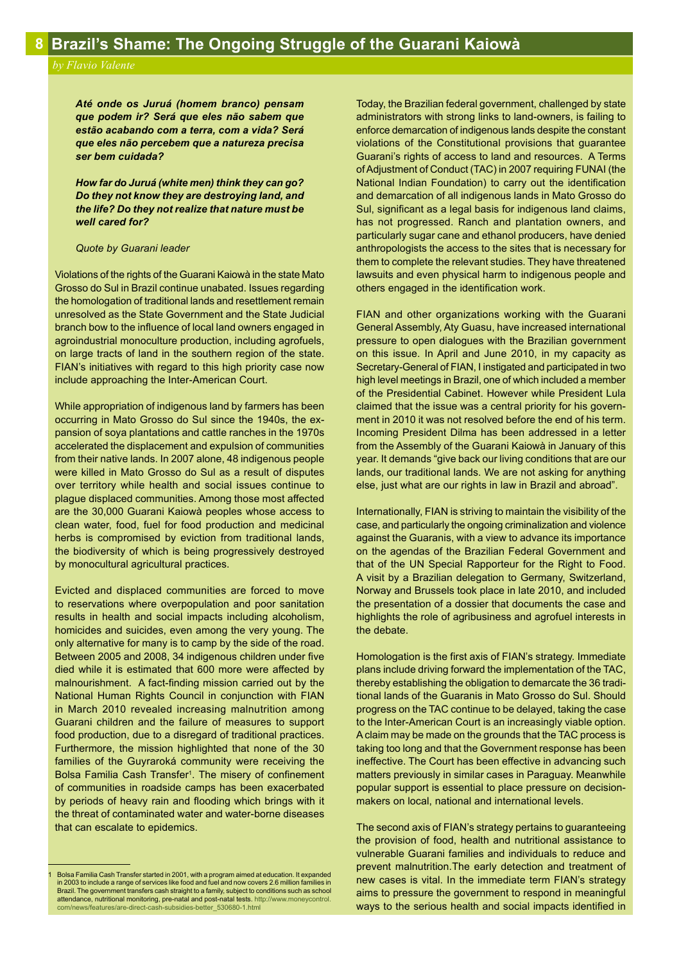*Até onde os Juruá (homem branco) pensam que podem ir? Será que eles não sabem que estão acabando com a terra, com a vida? Será que eles não percebem que a natureza precisa ser bem cuidada?*

*How far do Juruá (white men) think they can go? Do they not know they are destroying land, and the life? Do they not realize that nature must be well cared for?*

# *Quote by Guarani leader*

Violations of the rights of the Guarani Kaiowà in the state Mato Grosso do Sul in Brazil continue unabated. Issues regarding the homologation of traditional lands and resettlement remain unresolved as the State Government and the State Judicial branch bow to the influence of local land owners engaged in agroindustrial monoculture production, including agrofuels, on large tracts of land in the southern region of the state. FIAN's initiatives with regard to this high priority case now include approaching the Inter-American Court.

While appropriation of indigenous land by farmers has been occurring in Mato Grosso do Sul since the 1940s, the expansion of soya plantations and cattle ranches in the 1970s accelerated the displacement and expulsion of communities from their native lands. In 2007 alone, 48 indigenous people were killed in Mato Grosso do Sul as a result of disputes over territory while health and social issues continue to plague displaced communities. Among those most affected are the 30,000 Guarani Kaiowà peoples whose access to clean water, food, fuel for food production and medicinal herbs is compromised by eviction from traditional lands, the biodiversity of which is being progressively destroyed by monocultural agricultural practices.

Evicted and displaced communities are forced to move to reservations where overpopulation and poor sanitation results in health and social impacts including alcoholism, homicides and suicides, even among the very young. The only alternative for many is to camp by the side of the road. Between 2005 and 2008, 34 indigenous children under five died while it is estimated that 600 more were affected by malnourishment. A fact-finding mission carried out by the National Human Rights Council in conjunction with FIAN in March 2010 revealed increasing malnutrition among Guarani children and the failure of measures to support food production, due to a disregard of traditional practices. Furthermore, the mission highlighted that none of the 30 families of the Guyraroká community were receiving the Bolsa Familia Cash Transfer<sup>1</sup>. The misery of confinement of communities in roadside camps has been exacerbated by periods of heavy rain and flooding which brings with it the threat of contaminated water and water-borne diseases that can escalate to epidemics.

Today, the Brazilian federal government, challenged by state administrators with strong links to land-owners, is failing to enforce demarcation of indigenous lands despite the constant violations of the Constitutional provisions that guarantee Guarani's rights of access to land and resources. A Terms of Adjustment of Conduct (TAC) in 2007 requiring FUNAI (the National Indian Foundation) to carry out the identification and demarcation of all indigenous lands in Mato Grosso do Sul, significant as a legal basis for indigenous land claims, has not progressed. Ranch and plantation owners, and particularly sugar cane and ethanol producers, have denied anthropologists the access to the sites that is necessary for them to complete the relevant studies. They have threatened lawsuits and even physical harm to indigenous people and others engaged in the identification work.

FIAN and other organizations working with the Guarani General Assembly, Aty Guasu, have increased international pressure to open dialogues with the Brazilian government on this issue. In April and June 2010, in my capacity as Secretary-General of FIAN, I instigated and participated in two high level meetings in Brazil, one of which included a member of the Presidential Cabinet. However while President Lula claimed that the issue was a central priority for his government in 2010 it was not resolved before the end of his term. Incoming President Dilma has been addressed in a letter from the Assembly of the Guarani Kaiowà in January of this year. It demands "give back our living conditions that are our lands, our traditional lands. We are not asking for anything else, just what are our rights in law in Brazil and abroad".

Internationally, FIAN is striving to maintain the visibility of the case, and particularly the ongoing criminalization and violence against the Guaranis, with a view to advance its importance on the agendas of the Brazilian Federal Government and that of the UN Special Rapporteur for the Right to Food. A visit by a Brazilian delegation to Germany, Switzerland, Norway and Brussels took place in late 2010, and included the presentation of a dossier that documents the case and highlights the role of agribusiness and agrofuel interests in the debate.

Homologation is the first axis of FIAN's strategy. Immediate plans include driving forward the implementation of the TAC, thereby establishing the obligation to demarcate the 36 traditional lands of the Guaranis in Mato Grosso do Sul. Should progress on the TAC continue to be delayed, taking the case to the Inter-American Court is an increasingly viable option. A claim may be made on the grounds that the TAC process is taking too long and that the Government response has been ineffective. The Court has been effective in advancing such matters previously in similar cases in Paraguay. Meanwhile popular support is essential to place pressure on decisionmakers on local, national and international levels.

The second axis of FIAN's strategy pertains to guaranteeing the provision of food, health and nutritional assistance to vulnerable Guarani families and individuals to reduce and prevent malnutrition.The early detection and treatment of new cases is vital. In the immediate term FIAN's strategy aims to pressure the government to respond in meaningful ways to the serious health and social impacts identified in

<sup>1</sup> Bolsa Familia Cash Transfer started in 2001, with a program aimed at education. It expanded in 2003 to include a range of services like food and fuel and now covers 2.6 million families in Brazil. The government transfers cash straight to a family, subject to conditions such as school **attendance, nutritional monitoring, pre-natal and post-natal tests**. http://www.moneycontrol.<br>com/news/features/are-direct-cash-subsidies-better\_530680-1.html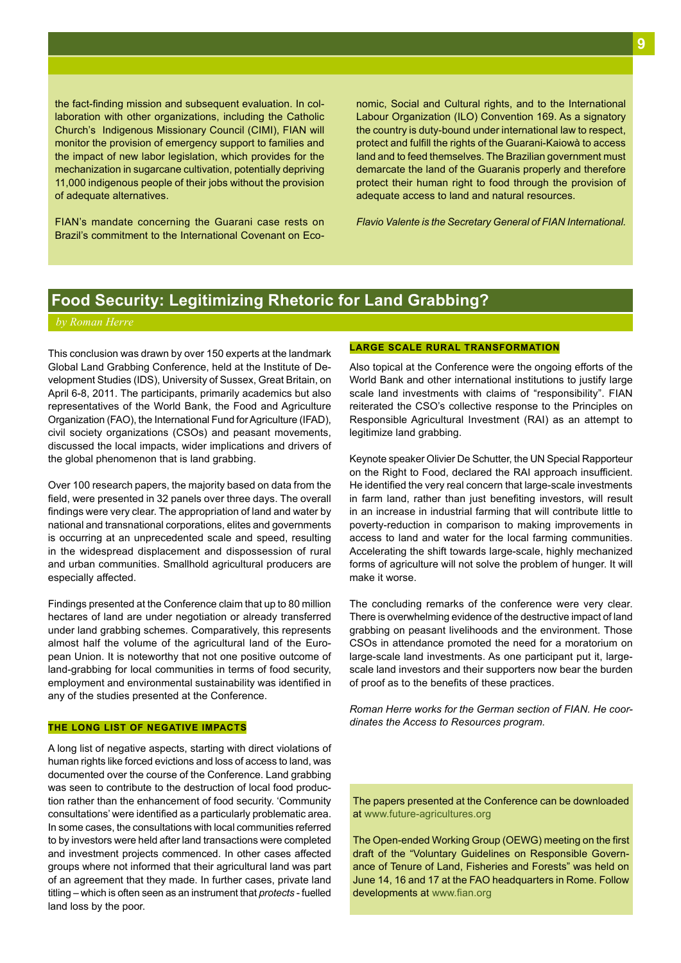the fact-finding mission and subsequent evaluation. In collaboration with other organizations, including the Catholic Church's Indigenous Missionary Council (CIMI), FIAN will monitor the provision of emergency support to families and the impact of new labor legislation, which provides for the mechanization in sugarcane cultivation, potentially depriving 11,000 indigenous people of their jobs without the provision of adequate alternatives.

FIAN's mandate concerning the Guarani case rests on Brazil's commitment to the International Covenant on Economic, Social and Cultural rights, and to the International Labour Organization (ILO) Convention 169. As a signatory the country is duty-bound under international law to respect, protect and fulfill the rights of the Guarani-Kaiowà to access land and to feed themselves. The Brazilian government must demarcate the land of the Guaranis properly and therefore protect their human right to food through the provision of adequate access to land and natural resources.

*Flavio Valente is the Secretary General of FIAN International.*

# **Food Security: Legitimizing Rhetoric for Land Grabbing?**

This conclusion was drawn by over 150 experts at the landmark Global Land Grabbing Conference, held at the Institute of Development Studies (IDS), University of Sussex, Great Britain, on April 6-8, 2011. The participants, primarily academics but also representatives of the World Bank, the Food and Agriculture Organization (FAO), the International Fund for Agriculture (IFAD), civil society organizations (CSOs) and peasant movements, discussed the local impacts, wider implications and drivers of the global phenomenon that is land grabbing.

Over 100 research papers, the majority based on data from the field, were presented in 32 panels over three days. The overall findings were very clear. The appropriation of land and water by national and transnational corporations, elites and governments is occurring at an unprecedented scale and speed, resulting in the widespread displacement and dispossession of rural and urban communities. Smallhold agricultural producers are especially affected.

Findings presented at the Conference claim that up to 80 million hectares of land are under negotiation or already transferred under land grabbing schemes. Comparatively, this represents almost half the volume of the agricultural land of the European Union. It is noteworthy that not one positive outcome of land-grabbing for local communities in terms of food security, employment and environmental sustainability was identified in any of the studies presented at the Conference.

# **THE LONG LIST OF NEGATIVE IMPACTS**

A long list of negative aspects, starting with direct violations of human rights like forced evictions and loss of access to land, was documented over the course of the Conference. Land grabbing was seen to contribute to the destruction of local food production rather than the enhancement of food security. 'Community consultations' were identified as a particularly problematic area. In some cases, the consultations with local communities referred to by investors were held after land transactions were completed and investment projects commenced. In other cases affected groups where not informed that their agricultural land was part of an agreement that they made. In further cases, private land titling – which is often seen as an instrument that *protects* - fuelled land loss by the poor.

# **LARGE SCALE RURAL TRANSFORMATION**

Also topical at the Conference were the ongoing efforts of the World Bank and other international institutions to justify large scale land investments with claims of "responsibility". FIAN reiterated the CSO's collective response to the Principles on Responsible Agricultural Investment (RAI) as an attempt to legitimize land grabbing.

Keynote speaker Olivier De Schutter, the UN Special Rapporteur on the Right to Food, declared the RAI approach insufficient. He identified the very real concern that large-scale investments in farm land, rather than just benefiting investors, will result in an increase in industrial farming that will contribute little to poverty-reduction in comparison to making improvements in access to land and water for the local farming communities. Accelerating the shift towards large-scale, highly mechanized forms of agriculture will not solve the problem of hunger. It will make it worse.

The concluding remarks of the conference were very clear. There is overwhelming evidence of the destructive impact of land grabbing on peasant livelihoods and the environment. Those CSOs in attendance promoted the need for a moratorium on large-scale land investments. As one participant put it, largescale land investors and their supporters now bear the burden of proof as to the benefits of these practices.

*Roman Herre works for the German section of FIAN. He coordinates the Access to Resources program.*

The papers presented at the Conference can be downloaded at www.future-agricultures.org

The Open-ended Working Group (OEWG) meeting on the first draft of the "Voluntary Guidelines on Responsible Governance of Tenure of Land, Fisheries and Forests" was held on June 14, 16 and 17 at the FAO headquarters in Rome. Follow developments at www.fian.org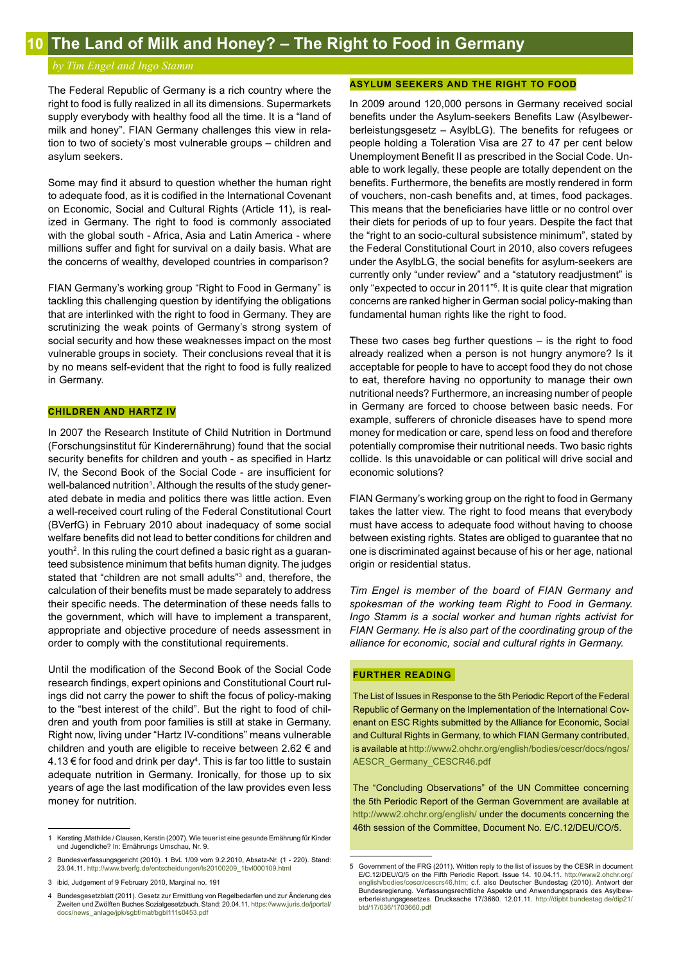# *by Tim Engel and Ingo Stamm*

The Federal Republic of Germany is a rich country where the right to food is fully realized in all its dimensions. Supermarkets supply everybody with healthy food all the time. It is a "land of milk and honey". FIAN Germany challenges this view in relation to two of society's most vulnerable groups – children and asylum seekers.

Some may find it absurd to question whether the human right to adequate food, as it is codified in the International Covenant on Economic, Social and Cultural Rights (Article 11), is realized in Germany. The right to food is commonly associated with the global south - Africa, Asia and Latin America - where millions suffer and fight for survival on a daily basis. What are the concerns of wealthy, developed countries in comparison?

FIAN Germany's working group "Right to Food in Germany" is tackling this challenging question by identifying the obligations that are interlinked with the right to food in Germany. They are scrutinizing the weak points of Germany's strong system of social security and how these weaknesses impact on the most vulnerable groups in society. Their conclusions reveal that it is by no means self-evident that the right to food is fully realized in Germany.

# **CHILDREN AND HARTZ IV**

In 2007 the Research Institute of Child Nutrition in Dortmund (Forschungsinstitut für Kinderernährung) found that the social security benefits for children and youth - as specified in Hartz IV, the Second Book of the Social Code - are insufficient for well-balanced nutrition<sup>1</sup>. Although the results of the study generated debate in media and politics there was little action. Even a well-received court ruling of the Federal Constitutional Court (BVerfG) in February 2010 about inadequacy of some social welfare benefits did not lead to better conditions for children and youth2 . In this ruling the court defined a basic right as a guaranteed subsistence minimum that befits human dignity. The judges stated that "children are not small adults"3 and, therefore, the calculation of their benefits must be made separately to address their specific needs. The determination of these needs falls to the government, which will have to implement a transparent, appropriate and objective procedure of needs assessment in order to comply with the constitutional requirements.

Until the modification of the Second Book of the Social Code research findings, expert opinions and Constitutional Court rulings did not carry the power to shift the focus of policy-making to the "best interest of the child". But the right to food of children and youth from poor families is still at stake in Germany. Right now, living under "Hartz IV-conditions" means vulnerable children and youth are eligible to receive between 2.62 € and 4.13 € for food and drink per day<sup>4</sup>. This is far too little to sustain adequate nutrition in Germany. Ironically, for those up to six years of age the last modification of the law provides even less money for nutrition.

# **ASYLUM SEEKERS AND THE RIGHT TO FOOD**

In 2009 around 120,000 persons in Germany received social benefits under the Asylum-seekers Benefits Law (Asylbewerberleistungsgesetz – AsylbLG). The benefits for refugees or people holding a Toleration Visa are 27 to 47 per cent below Unemployment Benefit II as prescribed in the Social Code. Unable to work legally, these people are totally dependent on the benefits. Furthermore, the benefits are mostly rendered in form of vouchers, non-cash benefits and, at times, food packages. This means that the beneficiaries have little or no control over their diets for periods of up to four years. Despite the fact that the "right to an socio-cultural subsistence minimum", stated by the Federal Constitutional Court in 2010, also covers refugees under the AsylbLG, the social benefits for asylum-seekers are currently only "under review" and a "statutory readjustment" is only "expected to occur in 2011"5 . It is quite clear that migration concerns are ranked higher in German social policy-making than fundamental human rights like the right to food.

These two cases beg further questions – is the right to food already realized when a person is not hungry anymore? Is it acceptable for people to have to accept food they do not chose to eat, therefore having no opportunity to manage their own nutritional needs? Furthermore, an increasing number of people in Germany are forced to choose between basic needs. For example, sufferers of chronicle diseases have to spend more money for medication or care, spend less on food and therefore potentially compromise their nutritional needs. Two basic rights collide. Is this unavoidable or can political will drive social and economic solutions?

FIAN Germany's working group on the right to food in Germany takes the latter view. The right to food means that everybody must have access to adequate food without having to choose between existing rights. States are obliged to guarantee that no one is discriminated against because of his or her age, national origin or residential status.

*Tim Engel is member of the board of FIAN Germany and spokesman of the working team Right to Food in Germany. Ingo Stamm is a social worker and human rights activist for FIAN Germany. He is also part of the coordinating group of the alliance for economic, social and cultural rights in Germany.*

# **FURTHER READING**

The List of Issues in Response to the 5th Periodic Report of the Federal Republic of Germany on the Implementation of the International Covenant on ESC Rights submitted by the Alliance for Economic, Social and Cultural Rights in Germany, to which FIAN Germany contributed, is available at http://www2.ohchr.org/english/bodies/cescr/docs/ngos/ AESCR\_Germany\_CESCR46.pdf

The "Concluding Observations" of the UN Committee concerning the 5th Periodic Report of the German Government are available at http://www2.ohchr.org/english/ under the documents concerning the 46th session of the Committee, Document No. E/C.12/DEU/CO/5.

<sup>1</sup> Kersting ,Mathilde / Clausen, Kerstin (2007). Wie teuer ist eine gesunde Ernährung für Kinder und Jugendliche? In: Ernährungs Umschau, Nr. 9.

<sup>2</sup> Bundesverfassungsgericht (2010). 1 BvL 1/09 vom 9.2.2010, Absatz-Nr. (1 - 220). Stand: 23.04.11. http://www.bverfg.de/entscheidungen/ls20100209\_1bvl000109.html

<sup>3</sup> ibid, Judgement of 9 February 2010, Marginal no. 191

<sup>4</sup> Bundesgesetzblatt (2011). Gesetz zur Ermittlung von Regelbedarfen und zur Änderung des Zweiten und Zwölften Buches Sozialgesetzbuch. Stand: 20.04.11. https://www.juris.de/jportal/ docs/news\_anlage/jpk/sgbf/mat/bgbl111s0453.pdf

<sup>5</sup> Government of the FRG (2011). Written reply to the list of issues by the CESR in document E/C.12/DEU/Q/5 on the Fifth Periodic Report. Issue 14. 10.04.11. http://www2.ohchr.org/ english/bodies/cescr/cescrs46.htm; c.f. also Deutscher Bundestag (2010). Antwort der Bundesregierung. Verfassungsrechtliche Aspekte und Anwendungspraxis des Asylbewerberleistungsgesetzes. Drucksache 17/3660. 12.01.11. http://dipbt.bundestag.de/dip21/ btd/17/036/1703660.pdf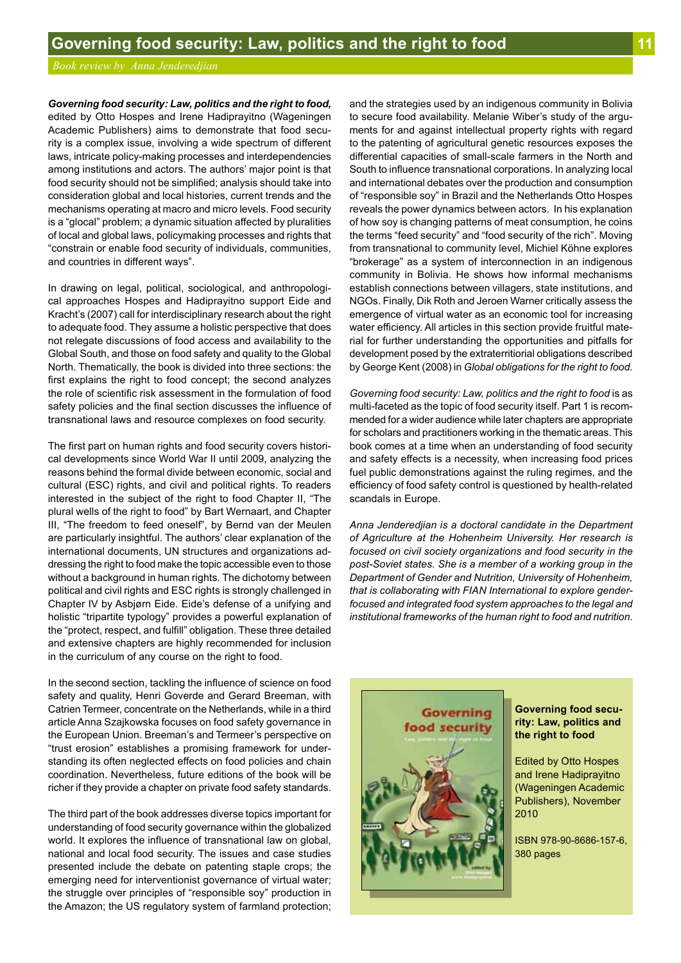*Governing food security: Law, politics and the right to food,* edited by Otto Hospes and Irene Hadiprayitno (Wageningen Academic Publishers) aims to demonstrate that food security is a complex issue, involving a wide spectrum of different laws, intricate policy-making processes and interdependencies among institutions and actors. The authors' major point is that food security should not be simplified; analysis should take into consideration global and local histories, current trends and the mechanisms operating at macro and micro levels. Food security is a "glocal" problem; a dynamic situation affected by pluralities of local and global laws, policymaking processes and rights that "constrain or enable food security of individuals, communities, and countries in different ways".

In drawing on legal, political, sociological, and anthropological approaches Hospes and Hadiprayitno support Eide and Kracht's (2007) call for interdisciplinary research about the right to adequate food. They assume a holistic perspective that does not relegate discussions of food access and availability to the Global South, and those on food safety and quality to the Global North. Thematically, the book is divided into three sections: the first explains the right to food concept; the second analyzes the role of scientific risk assessment in the formulation of food safety policies and the final section discusses the influence of transnational laws and resource complexes on food security.

The first part on human rights and food security covers historical developments since World War II until 2009, analyzing the reasons behind the formal divide between economic, social and cultural (ESC) rights, and civil and political rights. To readers interested in the subject of the right to food Chapter II, "The plural wells of the right to food" by Bart Wernaart, and Chapter III, "The freedom to feed oneself", by Bernd van der Meulen are particularly insightful. The authors' clear explanation of the international documents, UN structures and organizations addressing the right to food make the topic accessible even to those without a background in human rights. The dichotomy between political and civil rights and ESC rights is strongly challenged in Chapter IV by Asbjørn Eide. Eide's defense of a unifying and holistic "tripartite typology" provides a powerful explanation of the "protect, respect, and fulfill" obligation. These three detailed and extensive chapters are highly recommended for inclusion in the curriculum of any course on the right to food.

In the second section, tackling the influence of science on food safety and quality, Henri Goverde and Gerard Breeman, with Catrien Termeer, concentrate on the Netherlands, while in a third article Anna Szajkowska focuses on food safety governance in the European Union. Breeman's and Termeer's perspective on "trust erosion" establishes a promising framework for understanding its often neglected effects on food policies and chain coordination. Nevertheless, future editions of the book will be richer if they provide a chapter on private food safety standards.

The third part of the book addresses diverse topics important for understanding of food security governance within the globalized world. It explores the influence of transnational law on global, national and local food security. The issues and case studies presented include the debate on patenting staple crops; the emerging need for interventionist governance of virtual water; the struggle over principles of "responsible soy" production in the Amazon; the US regulatory system of farmland protection; and the strategies used by an indigenous community in Bolivia to secure food availability. Melanie Wiber's study of the arguments for and against intellectual property rights with regard to the patenting of agricultural genetic resources exposes the differential capacities of small-scale farmers in the North and South to influence transnational corporations. In analyzing local and international debates over the production and consumption of "responsible soy" in Brazil and the Netherlands Otto Hospes reveals the power dynamics between actors. In his explanation of how soy is changing patterns of meat consumption, he coins the terms "feed security" and "food security of the rich". Moving from transnational to community level, Michiel Köhne explores "brokerage" as a system of interconnection in an indigenous community in Bolivia. He shows how informal mechanisms establish connections between villagers, state institutions, and NGOs. Finally, Dik Roth and Jeroen Warner critically assess the emergence of virtual water as an economic tool for increasing water efficiency. All articles in this section provide fruitful material for further understanding the opportunities and pitfalls for development posed by the extraterritiorial obligations described by George Kent (2008) in *Global obligations for the right to food*.

*Governing food security: Law, politics and the right to food* is as multi-faceted as the topic of food security itself. Part 1 is recommended for a wider audience while later chapters are appropriate for scholars and practitioners working in the thematic areas. This book comes at a time when an understanding of food security and safety effects is a necessity, when increasing food prices fuel public demonstrations against the ruling regimes, and the efficiency of food safety control is questioned by health-related scandals in Europe.

*Anna Jenderedjian is a doctoral candidate in the Department of Agriculture at the Hohenheim University. Her research is focused on civil society organizations and food security in the post-Soviet states. She is a member of a working group in the Department of Gender and Nutrition, University of Hohenheim, that is collaborating with FIAN International to explore genderfocused and integrated food system approaches to the legal and institutional frameworks of the human right to food and nutrition*.



**Governing food security: Law, politics and the right to food**

Edited by Otto Hospes and Irene Hadiprayitno (Wageningen Academic Publishers), November 2010

ISBN 978-90-8686-157-6, 380 pages